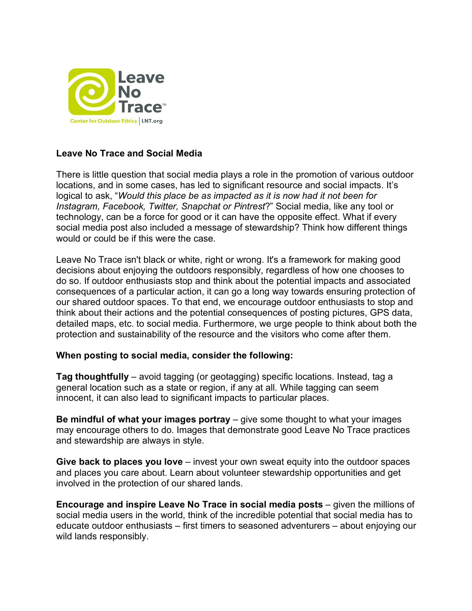

## **Leave No Trace and Social Media**

There is little question that social media plays a role in the promotion of various outdoor locations, and in some cases, has led to significant resource and social impacts. It's logical to ask, "*Would this place be as impacted as it is now had it not been for Instagram, Facebook, Twitter, Snapchat or Pintrest*?" Social media, like any tool or technology, can be a force for good or it can have the opposite effect. What if every social media post also included a message of stewardship? Think how different things would or could be if this were the case.

Leave No Trace isn't black or white, right or wrong. It's a framework for making good decisions about enjoying the outdoors responsibly, regardless of how one chooses to do so. If outdoor enthusiasts stop and think about the potential impacts and associated consequences of a particular action, it can go a long way towards ensuring protection of our shared outdoor spaces. To that end, we encourage outdoor enthusiasts to stop and think about their actions and the potential consequences of posting pictures, GPS data, detailed maps, etc. to social media. Furthermore, we urge people to think about both the protection and sustainability of the resource and the visitors who come after them.

## **When posting to social media, consider the following:**

**Tag thoughtfully** – avoid tagging (or geotagging) specific locations. Instead, tag a general location such as a state or region, if any at all. While tagging can seem innocent, it can also lead to significant impacts to particular places.

**Be mindful of what your images portray** – give some thought to what your images may encourage others to do. Images that demonstrate good Leave No Trace practices and stewardship are always in style.

**Give back to places you love** – invest your own sweat equity into the outdoor spaces and places you care about. Learn about volunteer stewardship opportunities and get involved in the protection of our shared lands.

**Encourage and inspire Leave No Trace in social media posts** – given the millions of social media users in the world, think of the incredible potential that social media has to educate outdoor enthusiasts – first timers to seasoned adventurers – about enjoying our wild lands responsibly.